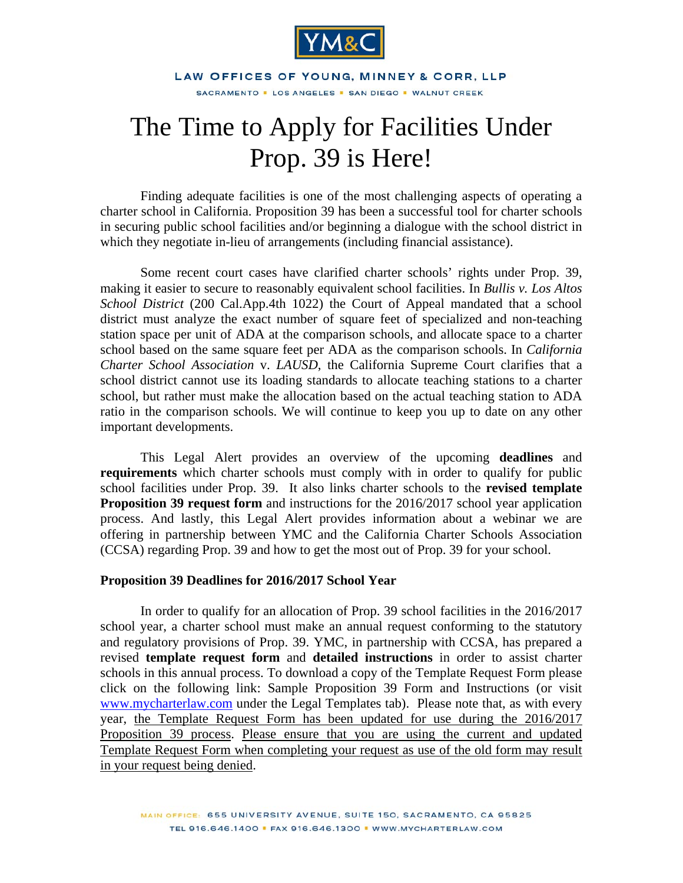

LAW OFFICES OF YOUNG, MINNEY & CORR, LLP SACRAMENTO · LOS ANGELES · SAN DIEGO · WALNUT CREEK

# The Time to Apply for Facilities Under Prop. 39 is Here!

Finding adequate facilities is one of the most challenging aspects of operating a charter school in California. Proposition 39 has been a successful tool for charter schools in securing public school facilities and/or beginning a dialogue with the school district in which they negotiate in-lieu of arrangements (including financial assistance).

Some recent court cases have clarified charter schools' rights under Prop. 39, making it easier to secure to reasonably equivalent school facilities. In *Bullis v. Los Altos School District* (200 Cal.App.4th 1022) the Court of Appeal mandated that a school district must analyze the exact number of square feet of specialized and non-teaching station space per unit of ADA at the comparison schools, and allocate space to a charter school based on the same square feet per ADA as the comparison schools. In *California Charter School Association* v. *LAUSD*, the California Supreme Court clarifies that a school district cannot use its loading standards to allocate teaching stations to a charter school, but rather must make the allocation based on the actual teaching station to ADA ratio in the comparison schools. We will continue to keep you up to date on any other important developments.

This Legal Alert provides an overview of the upcoming **deadlines** and **requirements** which charter schools must comply with in order to qualify for public school facilities under Prop. 39. It also links charter schools to the **revised template Proposition 39 request form** and instructions for the 2016/2017 school year application process. And lastly, this Legal Alert provides information about a webinar we are offering in partnership between YMC and the California Charter Schools Association (CCSA) regarding Prop. 39 and how to get the most out of Prop. 39 for your school.

#### **Proposition 39 Deadlines for 2016/2017 School Year**

In order to qualify for an allocation of Prop. 39 school facilities in the 2016/2017 school year, a charter school must make an annual request conforming to the statutory and regulatory provisions of Prop. 39. YMC, in partnership with CCSA, has prepared a revised **template request form** and **detailed instructions** in order to assist charter schools in this annual process. To download a copy of the Template Request Form please click on the following link: [Sample Proposition 39 Form and Instructions](http://mycharterlaw.com/legTempl.asp) (or visit www.mycharterlaw.com under the Legal Templates tab). Please note that, as with every year, the Template Request Form has been updated for use during the 2016/2017 Proposition 39 process. Please ensure that you are using the current and updated Template Request Form when completing your request as use of the old form may result in your request being denied.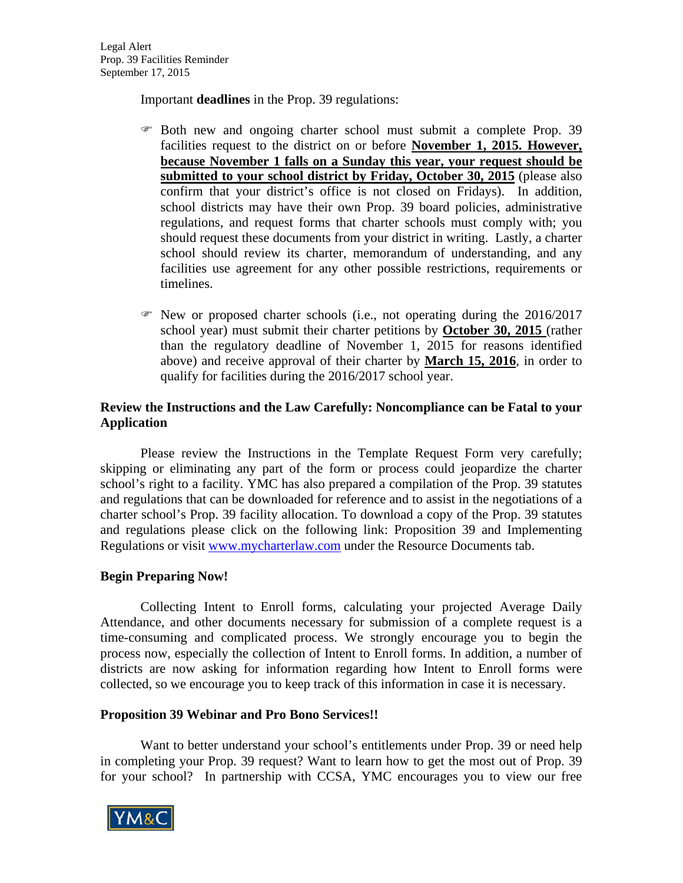Important **deadlines** in the Prop. 39 regulations:

- Both new and ongoing charter school must submit a complete Prop. 39 facilities request to the district on or before **November 1, 2015. However, because November 1 falls on a Sunday this year, your request should be submitted to your school district by Friday, October 30, 2015** (please also confirm that your district's office is not closed on Fridays). In addition, school districts may have their own Prop. 39 board policies, administrative regulations, and request forms that charter schools must comply with; you should request these documents from your district in writing. Lastly, a charter school should review its charter, memorandum of understanding, and any facilities use agreement for any other possible restrictions, requirements or timelines.
- $\mathcal{F}$  New or proposed charter schools (i.e., not operating during the 2016/2017 school year) must submit their charter petitions by **October 30, 2015** (rather than the regulatory deadline of November 1, 2015 for reasons identified above) and receive approval of their charter by **March 15, 2016**, in order to qualify for facilities during the 2016/2017 school year.

# **Review the Instructions and the Law Carefully: Noncompliance can be Fatal to your Application**

Please review the Instructions in the Template Request Form very carefully; skipping or eliminating any part of the form or process could jeopardize the charter school's right to a facility. YMC has also prepared a compilation of the Prop. 39 statutes and regulations that can be downloaded for reference and to assist in the negotiations of a charter school's Prop. 39 facility allocation. To download a copy of the Prop. 39 statutes and regulations please click on the following link: [Proposition 39 and Implementing](http://mycharterlaw.com/legTempl.asp)  [Regulations](http://mycharterlaw.com/legTempl.asp) or visit www.mycharterlaw.com under the Resource Documents tab.

## **Begin Preparing Now!**

 Collecting Intent to Enroll forms, calculating your projected Average Daily Attendance, and other documents necessary for submission of a complete request is a time-consuming and complicated process. We strongly encourage you to begin the process now, especially the collection of Intent to Enroll forms. In addition, a number of districts are now asking for information regarding how Intent to Enroll forms were collected, so we encourage you to keep track of this information in case it is necessary.

## **Proposition 39 Webinar and Pro Bono Services!!**

Want to better understand your school's entitlements under Prop. 39 or need help in completing your Prop. 39 request? Want to learn how to get the most out of Prop. 39 for your school? In partnership with CCSA, YMC encourages you to view our free